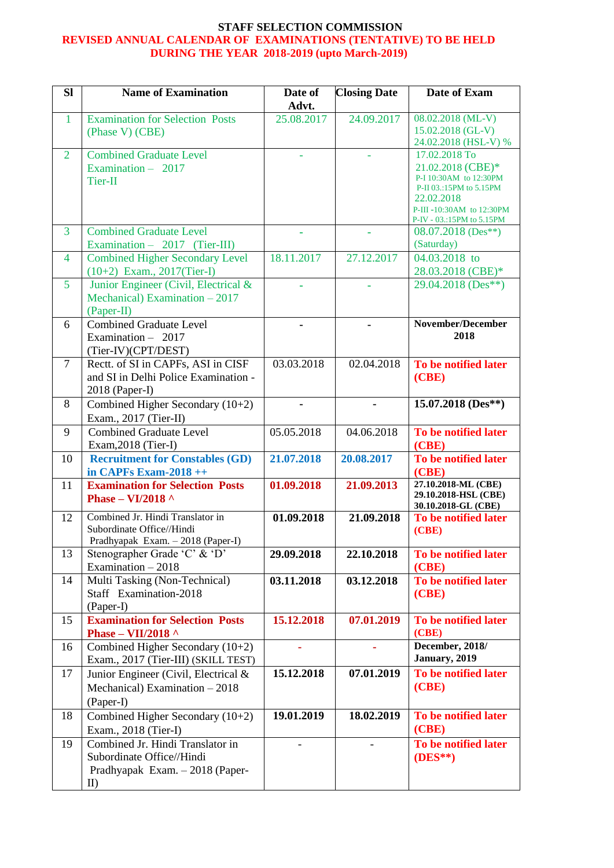## **STAFF SELECTION COMMISSION REVISED ANNUAL CALENDAR OF EXAMINATIONS (TENTATIVE) TO BE HELD DURING THE YEAR 2018-2019 (upto March-2019)**

| <b>Sl</b>      | <b>Name of Examination</b>                                                                                       | Date of<br>Advt. | <b>Closing Date</b> | Date of Exam                                                                                                                                                   |
|----------------|------------------------------------------------------------------------------------------------------------------|------------------|---------------------|----------------------------------------------------------------------------------------------------------------------------------------------------------------|
| $\mathbf{1}$   | <b>Examination for Selection Posts</b><br>(Phase V) (CBE)                                                        | 25.08.2017       | 24.09.2017          | 08.02.2018 (ML-V)<br>15.02.2018 (GL-V)<br>24.02.2018 (HSL-V) %                                                                                                 |
| $\overline{2}$ | <b>Combined Graduate Level</b><br>Examination - 2017<br>Tier-II                                                  |                  |                     | 17.02.2018 To<br>21.02.2018 (CBE)*<br>P-I 10:30AM to 12:30PM<br>P-II 03.:15PM to 5.15PM<br>22.02.2018<br>P-III-10:30AM to 12:30PM<br>P-IV - 03.:15PM to 5.15PM |
| 3              | <b>Combined Graduate Level</b><br>Examination - $2017$ (Tier-III)                                                | ٠                | ä,                  | $08.07.2018$ (Des**)<br>(Saturday)                                                                                                                             |
| $\overline{4}$ | <b>Combined Higher Secondary Level</b><br>$(10+2)$ Exam., 2017(Tier-I)                                           | 18.11.2017       | 27.12.2017          | 04.03.2018 to<br>28.03.2018 (CBE)*                                                                                                                             |
| $\overline{5}$ | Junior Engineer (Civil, Electrical &<br>Mechanical) Examination $-2017$<br>(Paper-II)                            |                  |                     | 29.04.2018 (Des**)                                                                                                                                             |
| 6              | <b>Combined Graduate Level</b><br>Examination $-2017$<br>(Tier-IV)(CPT/DEST)                                     |                  |                     | November/December<br>2018                                                                                                                                      |
| $\overline{7}$ | Rectt. of SI in CAPFs, ASI in CISF<br>and SI in Delhi Police Examination -<br>2018 (Paper-I)                     | 03.03.2018       | 02.04.2018          | To be notified later<br>(CBE)                                                                                                                                  |
| 8              | Combined Higher Secondary (10+2)<br>Exam., 2017 (Tier-II)                                                        |                  | ٠                   | 15.07.2018 (Des**)                                                                                                                                             |
| 9              | <b>Combined Graduate Level</b><br>Exam, 2018 (Tier-I)                                                            | 05.05.2018       | 04.06.2018          | To be notified later<br>(CBE)                                                                                                                                  |
| 10             | <b>Recruitment for Constables (GD)</b><br>in CAPFs Exam-2018 ++                                                  | 21.07.2018       | 20.08.2017          | To be notified later<br>(CBE)                                                                                                                                  |
| 11             | <b>Examination for Selection Posts</b><br>Phase - VI/2018 $\land$                                                | 01.09.2018       | 21.09.2013          | 27.10.2018-ML (CBE)<br>29.10.2018-HSL (CBE)<br>30.10.2018-GL (CBE)                                                                                             |
| 12             | Combined Jr. Hindi Translator in<br>Subordinate Office//Hindi<br>Pradhyapak Exam. - 2018 (Paper-I)               | 01.09.2018       | 21.09.2018          | To be notified later<br>(CBE)                                                                                                                                  |
| 13             | Stenographer Grade 'C' & 'D'<br>Examination - 2018                                                               | 29.09.2018       | 22.10.2018          | To be notified later<br>(CBE)                                                                                                                                  |
| 14             | Multi Tasking (Non-Technical)<br>Staff Examination-2018<br>(Paper-I)                                             | 03.11.2018       | 03.12.2018          | To be notified later<br>(CBE)                                                                                                                                  |
| 15             | <b>Examination for Selection Posts</b><br>Phase - VII/2018 ^                                                     | 15.12.2018       | 07.01.2019          | To be notified later<br>(CBE)                                                                                                                                  |
| 16             | Combined Higher Secondary $(10+2)$<br>Exam., 2017 (Tier-III) (SKILL TEST)                                        | ä,               |                     | December, 2018/<br>January, 2019                                                                                                                               |
| 17             | Junior Engineer (Civil, Electrical &<br>Mechanical) Examination - 2018<br>(Paper-I)                              | 15.12.2018       | 07.01.2019          | To be notified later<br>(CBE)                                                                                                                                  |
| 18             | Combined Higher Secondary (10+2)<br>Exam., 2018 (Tier-I)                                                         | 19.01.2019       | 18.02.2019          | To be notified later<br>(CBE)                                                                                                                                  |
| 19             | Combined Jr. Hindi Translator in<br>Subordinate Office//Hindi<br>Pradhyapak Exam. - 2018 (Paper-<br>$\mathbf{I}$ |                  |                     | To be notified later<br>$(DES**)$                                                                                                                              |